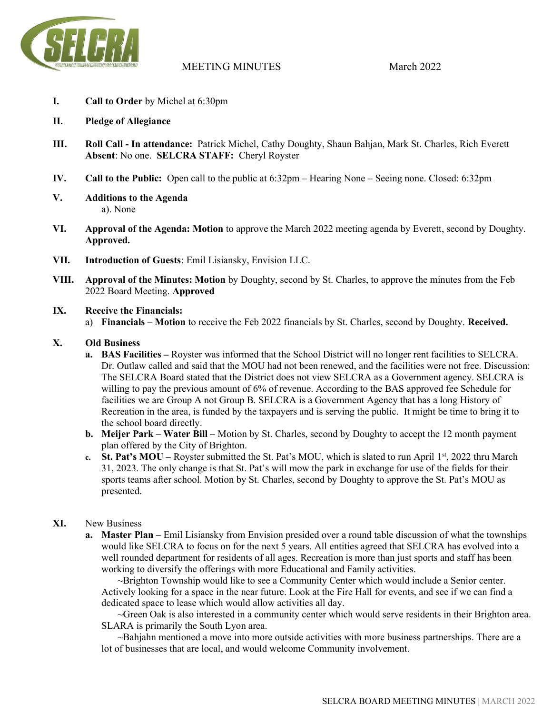

# MEETING MINUTES March 2022

- I. Call to Order by Michel at 6:30pm
- II. Pledge of Allegiance
- III. Roll Call In attendance: Patrick Michel, Cathy Doughty, Shaun Bahjan, Mark St. Charles, Rich Everett Absent: No one. SELCRA STAFF: Cheryl Royster
- IV. Call to the Public: Open call to the public at 6:32pm Hearing None Seeing none. Closed: 6:32pm
- V. Additions to the Agenda a). None
- VI. Approval of the Agenda: Motion to approve the March 2022 meeting agenda by Everett, second by Doughty. Approved.
- VII. Introduction of Guests: Emil Lisiansky, Envision LLC.
- VIII. Approval of the Minutes: Motion by Doughty, second by St. Charles, to approve the minutes from the Feb 2022 Board Meeting. Approved

### IX. Receive the Financials:

a) Financials – Motion to receive the Feb 2022 financials by St. Charles, second by Doughty. Received.

## X. Old Business

- a. BAS Facilities Royster was informed that the School District will no longer rent facilities to SELCRA. Dr. Outlaw called and said that the MOU had not been renewed, and the facilities were not free. Discussion: The SELCRA Board stated that the District does not view SELCRA as a Government agency. SELCRA is willing to pay the previous amount of 6% of revenue. According to the BAS approved fee Schedule for facilities we are Group A not Group B. SELCRA is a Government Agency that has a long History of Recreation in the area, is funded by the taxpayers and is serving the public. It might be time to bring it to the school board directly.
- b. Meijer Park Water Bill Motion by St. Charles, second by Doughty to accept the 12 month payment plan offered by the City of Brighton.
- c. St. Pat's MOU Royster submitted the St. Pat's MOU, which is slated to run April  $1<sup>st</sup>$ , 2022 thru March 31, 2023. The only change is that St. Pat's will mow the park in exchange for use of the fields for their sports teams after school. Motion by St. Charles, second by Doughty to approve the St. Pat's MOU as presented.

## XI. New Business

a. Master Plan – Emil Lisiansky from Envision presided over a round table discussion of what the townships would like SELCRA to focus on for the next 5 years. All entities agreed that SELCRA has evolved into a well rounded department for residents of all ages. Recreation is more than just sports and staff has been working to diversify the offerings with more Educational and Family activities.

~Brighton Township would like to see a Community Center which would include a Senior center. Actively looking for a space in the near future. Look at the Fire Hall for events, and see if we can find a dedicated space to lease which would allow activities all day.

~Green Oak is also interested in a community center which would serve residents in their Brighton area. SLARA is primarily the South Lyon area.

~Bahjahn mentioned a move into more outside activities with more business partnerships. There are a lot of businesses that are local, and would welcome Community involvement.